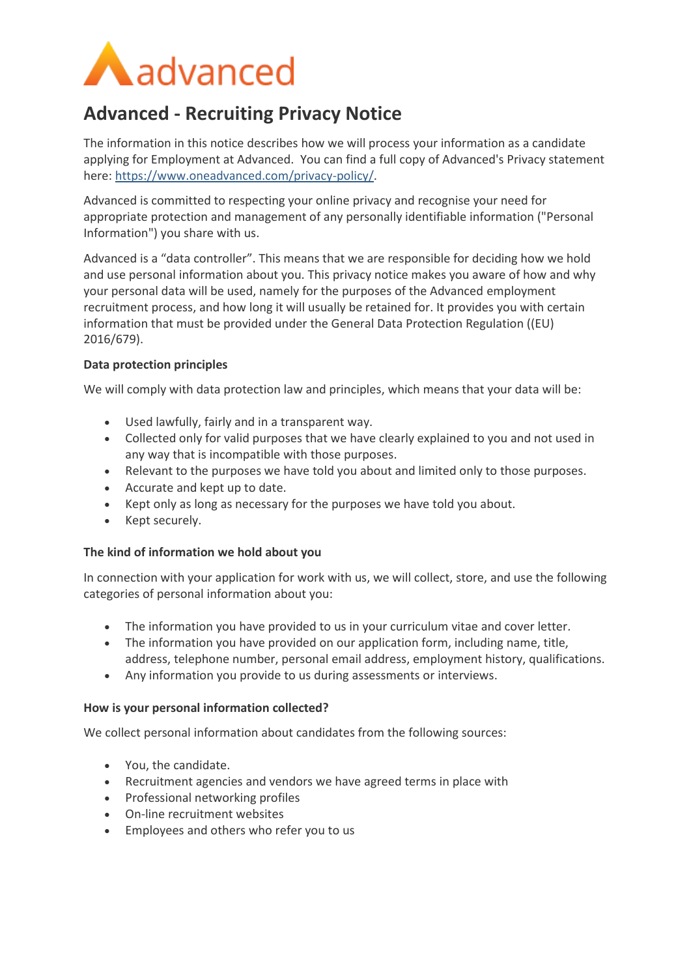

# **Advanced - Recruiting Privacy Notice**

The information in this notice describes how we will process your information as a candidate applying for Employment at Advanced. You can find a full copy of Advanced's Privacy statement here: [https://www.oneadvanced.com/privacy-policy/.](https://www.oneadvanced.com/privacy-policy/)

Advanced is committed to respecting your online privacy and recognise your need for appropriate protection and management of any personally identifiable information ("Personal Information") you share with us.

Advanced is a "data controller". This means that we are responsible for deciding how we hold and use personal information about you. This privacy notice makes you aware of how and why your personal data will be used, namely for the purposes of the Advanced employment recruitment process, and how long it will usually be retained for. It provides you with certain information that must be provided under the General Data Protection Regulation ((EU) 2016/679).

## **Data protection principles**

We will comply with data protection law and principles, which means that your data will be:

- Used lawfully, fairly and in a transparent way.
- Collected only for valid purposes that we have clearly explained to you and not used in any way that is incompatible with those purposes.
- Relevant to the purposes we have told you about and limited only to those purposes.
- Accurate and kept up to date.
- Kept only as long as necessary for the purposes we have told you about.
- Kept securely.

## **The kind of information we hold about you**

In connection with your application for work with us, we will collect, store, and use the following categories of personal information about you:

- The information you have provided to us in your curriculum vitae and cover letter.
- The information you have provided on our application form, including name, title, address, telephone number, personal email address, employment history, qualifications.
- Any information you provide to us during assessments or interviews.

## **How is your personal information collected?**

We collect personal information about candidates from the following sources:

- You, the candidate.
- Recruitment agencies and vendors we have agreed terms in place with
- Professional networking profiles
- On-line recruitment websites
- Employees and others who refer you to us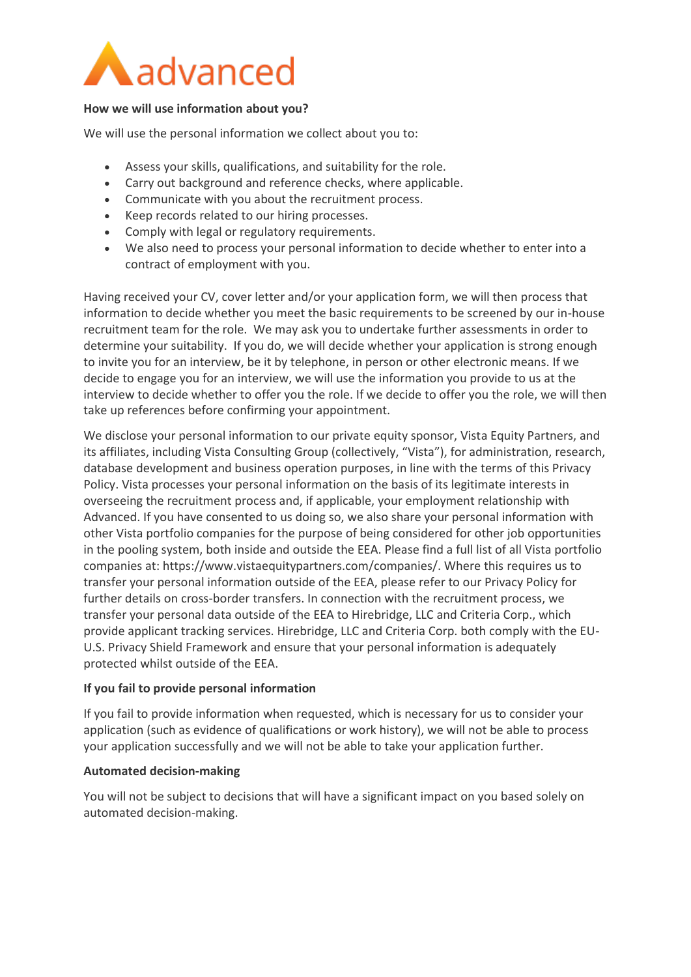

## **How we will use information about you?**

We will use the personal information we collect about you to:

- Assess your skills, qualifications, and suitability for the role.
- Carry out background and reference checks, where applicable.
- Communicate with you about the recruitment process.
- Keep records related to our hiring processes.
- Comply with legal or regulatory requirements.
- We also need to process your personal information to decide whether to enter into a contract of employment with you.

Having received your CV, cover letter and/or your application form, we will then process that information to decide whether you meet the basic requirements to be screened by our in-house recruitment team for the role. We may ask you to undertake further assessments in order to determine your suitability. If you do, we will decide whether your application is strong enough to invite you for an interview, be it by telephone, in person or other electronic means. If we decide to engage you for an interview, we will use the information you provide to us at the interview to decide whether to offer you the role. If we decide to offer you the role, we will then take up references before confirming your appointment.

We disclose your personal information to our private equity sponsor, Vista Equity Partners, and its affiliates, including Vista Consulting Group (collectively, "Vista"), for administration, research, database development and business operation purposes, in line with the terms of this Privacy Policy. Vista processes your personal information on the basis of its legitimate interests in overseeing the recruitment process and, if applicable, your employment relationship with Advanced. If you have consented to us doing so, we also share your personal information with other Vista portfolio companies for the purpose of being considered for other job opportunities in the pooling system, both inside and outside the EEA. Please find a full list of all Vista portfolio companies at: https://www.vistaequitypartners.com/companies/. Where this requires us to transfer your personal information outside of the EEA, please refer to our Privacy Policy for further details on cross-border transfers. In connection with the recruitment process, we transfer your personal data outside of the EEA to Hirebridge, LLC and Criteria Corp., which provide applicant tracking services. Hirebridge, LLC and Criteria Corp. both comply with the EU-U.S. Privacy Shield Framework and ensure that your personal information is adequately protected whilst outside of the EEA.

## **If you fail to provide personal information**

If you fail to provide information when requested, which is necessary for us to consider your application (such as evidence of qualifications or work history), we will not be able to process your application successfully and we will not be able to take your application further.

## **Automated decision-making**

You will not be subject to decisions that will have a significant impact on you based solely on automated decision-making.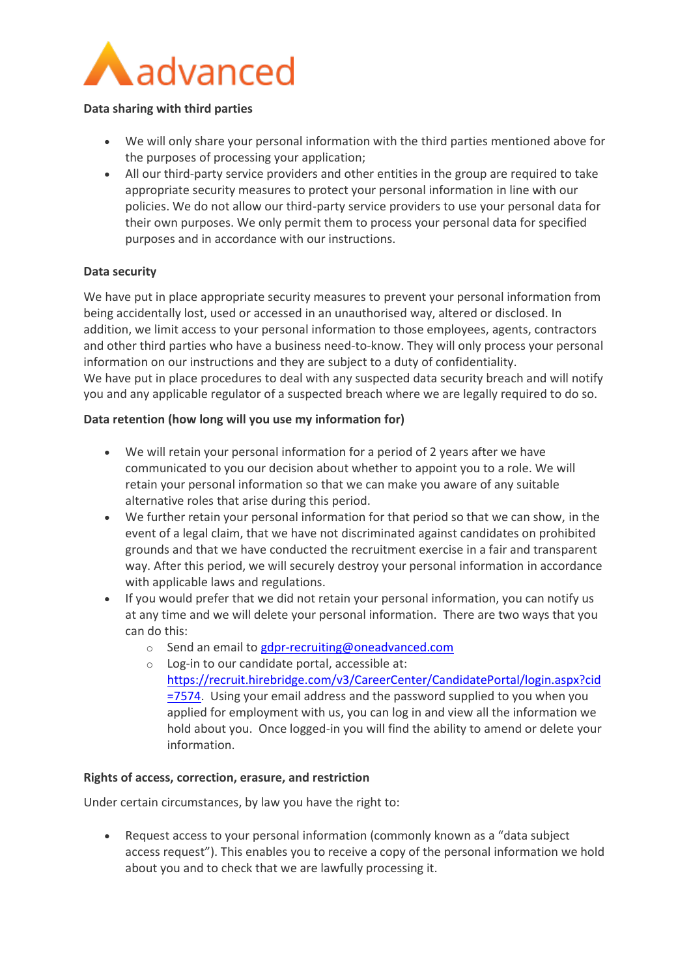

### **Data sharing with third parties**

- We will only share your personal information with the third parties mentioned above for the purposes of processing your application;
- All our third-party service providers and other entities in the group are required to take appropriate security measures to protect your personal information in line with our policies. We do not allow our third-party service providers to use your personal data for their own purposes. We only permit them to process your personal data for specified purposes and in accordance with our instructions.

## **Data security**

We have put in place appropriate security measures to prevent your personal information from being accidentally lost, used or accessed in an unauthorised way, altered or disclosed. In addition, we limit access to your personal information to those employees, agents, contractors and other third parties who have a business need-to-know. They will only process your personal information on our instructions and they are subject to a duty of confidentiality. We have put in place procedures to deal with any suspected data security breach and will notify you and any applicable regulator of a suspected breach where we are legally required to do so.

### **Data retention (how long will you use my information for)**

- We will retain your personal information for a period of 2 years after we have communicated to you our decision about whether to appoint you to a role. We will retain your personal information so that we can make you aware of any suitable alternative roles that arise during this period.
- We further retain your personal information for that period so that we can show, in the event of a legal claim, that we have not discriminated against candidates on prohibited grounds and that we have conducted the recruitment exercise in a fair and transparent way. After this period, we will securely destroy your personal information in accordance with applicable laws and regulations.
- If you would prefer that we did not retain your personal information, you can notify us at any time and we will delete your personal information. There are two ways that you can do this:
	- o Send an email t[o gdpr-recruiting@oneadvanced.com](mailto:gdpr-recruiting@oneadvanced.com)
	- o Log-in to our candidate portal, accessible at:
		- [https://recruit.hirebridge.com/v3/CareerCenter/CandidatePortal/login.aspx?cid](https://recruit.hirebridge.com/v3/CareerCenter/CandidatePortal/login.aspx?cid=7574) [=7574.](https://recruit.hirebridge.com/v3/CareerCenter/CandidatePortal/login.aspx?cid=7574) Using your email address and the password supplied to you when you applied for employment with us, you can log in and view all the information we hold about you. Once logged-in you will find the ability to amend or delete your information.

#### **Rights of access, correction, erasure, and restriction**

Under certain circumstances, by law you have the right to:

 Request access to your personal information (commonly known as a "data subject access request"). This enables you to receive a copy of the personal information we hold about you and to check that we are lawfully processing it.